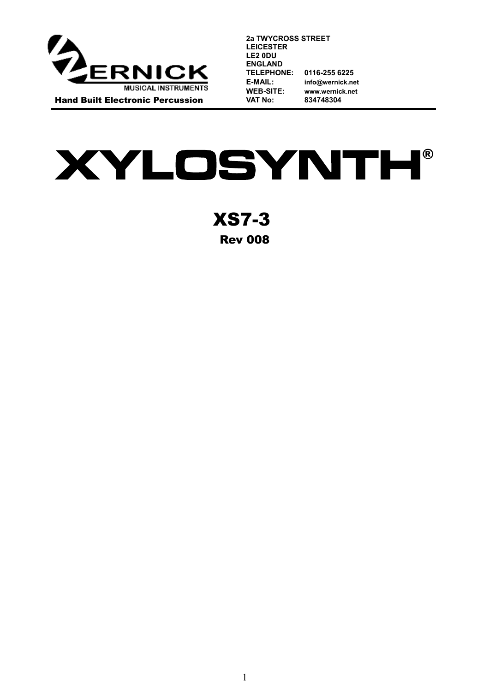

**2a TWYCROSS STREET LEICESTER LE2 0DU ENGLAND TELEPHONE: 0116-255 6225 E-MAIL: info@wernick.net WEB-SITE: [www.wernick.net](http://www.wernick.net/) VAT No: 834748304**

**XYLOSYNTH®** 

XS7-3 Rev 008

1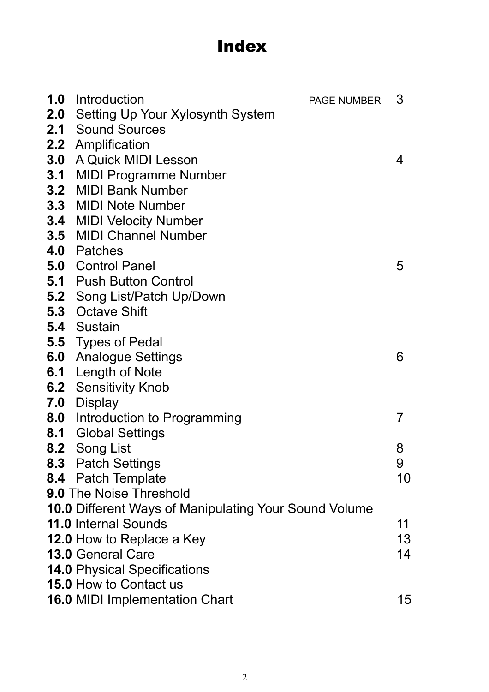# Index

| <b>1.0</b> Introduction<br><b>PAGE NUMBER</b>                | 3  |
|--------------------------------------------------------------|----|
| <b>2.0</b> Setting Up Your Xylosynth System                  |    |
| 2.1 Sound Sources                                            |    |
| 2.2 Amplification                                            |    |
| <b>3.0</b> A Quick MIDI Lesson                               | 4  |
| <b>3.1 MIDI Programme Number</b>                             |    |
| 3.2 MIDI Bank Number                                         |    |
| <b>3.3 MIDI Note Number</b>                                  |    |
| 3.4 MIDI Velocity Number                                     |    |
| <b>3.5 MIDI Channel Number</b>                               |    |
| 4.0 Patches                                                  |    |
| <b>5.0 Control Panel</b>                                     | 5  |
| <b>5.1 Push Button Control</b>                               |    |
| 5.2 Song List/Patch Up/Down                                  |    |
| <b>5.3</b> Octave Shift                                      |    |
| <b>5.4</b> Sustain                                           |    |
| <b>5.5</b> Types of Pedal                                    |    |
| <b>6.0</b> Analogue Settings                                 | 6  |
| 6.1 Length of Note                                           |    |
| <b>6.2</b> Sensitivity Knob                                  |    |
| <b>7.0 Display</b>                                           |    |
| <b>8.0</b> Introduction to Programming                       | 7  |
| <b>8.1 Global Settings</b>                                   |    |
| 8.2 Song List                                                | 8  |
| 8.3 Patch Settings                                           | 9  |
| 8.4 Patch Template                                           | 10 |
| <b>9.0 The Noise Threshold</b>                               |    |
| <b>10.0 Different Ways of Manipulating Your Sound Volume</b> |    |
| <b>11.0 Internal Sounds</b>                                  | 11 |
| 12.0 How to Replace a Key                                    | 13 |
| <b>13.0 General Care</b>                                     | 14 |
| <b>14.0 Physical Specifications</b>                          |    |
| <b>15.0 How to Contact us</b>                                |    |
| <b>16.0 MIDI Implementation Chart</b>                        | 15 |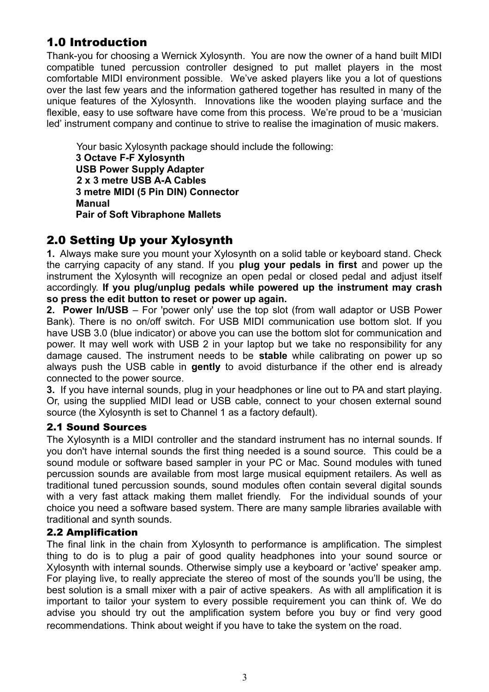## 1.0 Introduction

Thank-you for choosing a Wernick Xylosynth. You are now the owner of a hand built MIDI compatible tuned percussion controller designed to put mallet players in the most comfortable MIDI environment possible. We've asked players like you a lot of questions over the last few years and the information gathered together has resulted in many of the unique features of the Xylosynth. Innovations like the wooden playing surface and the flexible, easy to use software have come from this process. We're proud to be a 'musician led' instrument company and continue to strive to realise the imagination of music makers.

 Your basic Xylosynth package should include the following: **3 Octave F-F Xylosynth USB Power Supply Adapter 2 x 3 metre USB A-A Cables 3 metre MIDI (5 Pin DIN) Connector Manual Pair of Soft Vibraphone Mallets**

## 2.0 Setting Up your Xylosynth

**1.** Always make sure you mount your Xylosynth on a solid table or keyboard stand. Check the carrying capacity of any stand. If you **plug your pedals in first** and power up the instrument the Xylosynth will recognize an open pedal or closed pedal and adjust itself accordingly. **If you plug/unplug pedals while powered up the instrument may crash so press the edit button to reset or power up again.**

**2. Power In/USB** – For 'power only' use the top slot (from wall adaptor or USB Power Bank). There is no on/off switch. For USB MIDI communication use bottom slot. If you have USB 3.0 (blue indicator) or above you can use the bottom slot for communication and power. It may well work with USB 2 in your laptop but we take no responsibility for any damage caused. The instrument needs to be **stable** while calibrating on power up so always push the USB cable in **gently** to avoid disturbance if the other end is already connected to the power source.

**3.** If you have internal sounds, plug in your headphones or line out to PA and start playing. Or, using the supplied MIDI lead or USB cable, connect to your chosen external sound source (the Xylosynth is set to Channel 1 as a factory default).

### 2.1 Sound Sources

The Xylosynth is a MIDI controller and the standard instrument has no internal sounds. If you don't have internal sounds the first thing needed is a sound source. This could be a sound module or software based sampler in your PC or Mac. Sound modules with tuned percussion sounds are available from most large musical equipment retailers. As well as traditional tuned percussion sounds, sound modules often contain several digital sounds with a very fast attack making them mallet friendly. For the individual sounds of your choice you need a software based system. There are many sample libraries available with traditional and synth sounds.

### 2.2 Amplification

The final link in the chain from Xylosynth to performance is amplification. The simplest thing to do is to plug a pair of good quality headphones into your sound source or Xylosynth with internal sounds. Otherwise simply use a keyboard or 'active' speaker amp. For playing live, to really appreciate the stereo of most of the sounds you'll be using, the best solution is a small mixer with a pair of active speakers. As with all amplification it is important to tailor your system to every possible requirement you can think of. We do advise you should try out the amplification system before you buy or find very good recommendations. Think about weight if you have to take the system on the road.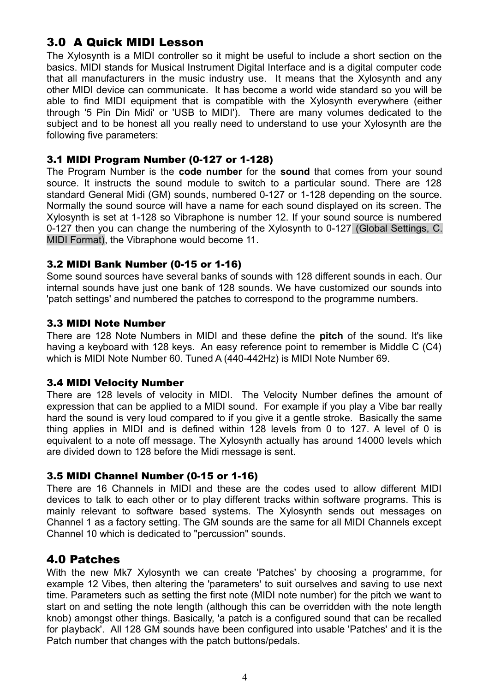## 3.0 A Quick MIDI Lesson

The Xylosynth is a MIDI controller so it might be useful to include a short section on the basics. MIDI stands for Musical Instrument Digital Interface and is a digital computer code that all manufacturers in the music industry use. It means that the Xylosynth and any other MIDI device can communicate. It has become a world wide standard so you will be able to find MIDI equipment that is compatible with the Xylosynth everywhere (either through '5 Pin Din Midi' or 'USB to MIDI'). There are many volumes dedicated to the subject and to be honest all you really need to understand to use your Xylosynth are the following five parameters:

### 3.1 MIDI Program Number (0-127 or 1-128)

The Program Number is the **code number** for the **sound** that comes from your sound source. It instructs the sound module to switch to a particular sound. There are 128 standard General Midi (GM) sounds, numbered 0-127 or 1-128 depending on the source. Normally the sound source will have a name for each sound displayed on its screen. The Xylosynth is set at 1-128 so Vibraphone is number 12. If your sound source is numbered 0-127 then you can change the numbering of the Xylosynth to 0-127 (Global Settings, C. MIDI Format), the Vibraphone would become 11.

### 3.2 MIDI Bank Number (0-15 or 1-16)

Some sound sources have several banks of sounds with 128 different sounds in each. Our internal sounds have just one bank of 128 sounds. We have customized our sounds into 'patch settings' and numbered the patches to correspond to the programme numbers.

### 3.3 MIDI Note Number

There are 128 Note Numbers in MIDI and these define the **pitch** of the sound. It's like having a keyboard with 128 keys. An easy reference point to remember is Middle C (C4) which is MIDI Note Number 60. Tuned A (440-442Hz) is MIDI Note Number 69.

### 3.4 MIDI Velocity Number

There are 128 levels of velocity in MIDI. The Velocity Number defines the amount of expression that can be applied to a MIDI sound. For example if you play a Vibe bar really hard the sound is very loud compared to if you give it a gentle stroke. Basically the same thing applies in MIDI and is defined within 128 levels from 0 to 127. A level of 0 is equivalent to a note off message. The Xylosynth actually has around 14000 levels which are divided down to 128 before the Midi message is sent.

### 3.5 MIDI Channel Number (0-15 or 1-16)

There are 16 Channels in MIDI and these are the codes used to allow different MIDI devices to talk to each other or to play different tracks within software programs. This is mainly relevant to software based systems. The Xylosynth sends out messages on Channel 1 as a factory setting. The GM sounds are the same for all MIDI Channels except Channel 10 which is dedicated to "percussion" sounds.

### 4.0 Patches

With the new Mk7 Xylosynth we can create 'Patches' by choosing a programme, for example 12 Vibes, then altering the 'parameters' to suit ourselves and saving to use next time. Parameters such as setting the first note (MIDI note number) for the pitch we want to start on and setting the note length (although this can be overridden with the note length knob) amongst other things. Basically, 'a patch is a configured sound that can be recalled for playback'. All 128 GM sounds have been configured into usable 'Patches' and it is the Patch number that changes with the patch buttons/pedals.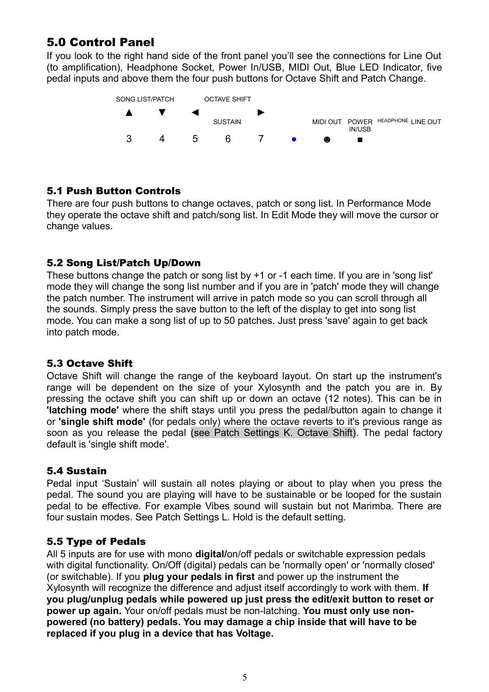## 5.0 Control Panel

If you look to the right hand side of the front panel you'll see the connections for Line Out (to amplification), Headphone Socket, Power In/USB, MIDI Out, Blue LED Indicator, five pedal inputs and above them the four push buttons for Octave Shift and Patch Change.



### 5.1 Push Button Controls

There are four push buttons to change octaves, patch or song list. In Performance Mode they operate the octave shift and patch/song list. In Edit Mode they will move the cursor or change values.

### 5.2 Song List/Patch Up/Down

These buttons change the patch or song list by +1 or -1 each time. If you are in 'song list' mode they will change the song list number and if you are in 'patch' mode they will change the patch number. The instrument will arrive in patch mode so you can scroll through all the sounds. Simply press the save button to the left of the display to get into song list mode. You can make a song list of up to 50 patches. Just press 'save' again to get back into patch mode.

### 5.3 Octave Shift

Octave Shift will change the range of the keyboard layout. On start up the instrument's range will be dependent on the size of your Xylosynth and the patch you are in. By pressing the octave shift you can shift up or down an octave (12 notes). This can be in **'latching mode'** where the shift stays until you press the pedal/button again to change it or **'single shift mode'** (for pedals only) where the octave reverts to it's previous range as soon as you release the pedal (see Patch Settings K. Octave Shift). The pedal factory default is 'single shift mode'.

### 5.4 Sustain

Pedal input 'Sustain' will sustain all notes playing or about to play when you press the pedal. The sound you are playing will have to be sustainable or be looped for the sustain pedal to be effective. For example Vibes sound will sustain but not Marimba. There are four sustain modes. See Patch Settings L. Hold is the default setting.

### 5.5 Type of Pedals

All 5 inputs are for use with mono **digital/**on/off pedals or switchable expression pedals with digital functionality. On/Off (digital) pedals can be 'normally open' or 'normally closed' (or switchable). If you **plug your pedals in first** and power up the instrument the Xylosynth will recognize the difference and adjust itself accordingly to work with them. **If you plug/unplug pedals while powered up just press the edit/exit button to reset or power up again.** Your on/off pedals must be non-latching. **You must only use nonpowered (no battery) pedals. You may damage a chip inside that will have to be replaced if you plug in a device that has Voltage.**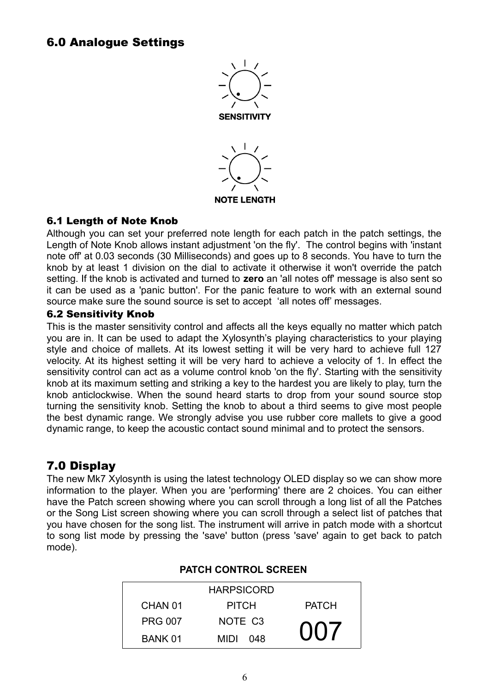## 6.0 Analogue Settings



**NOTE LENGTH** 

### 6.1 Length of Note Knob

Although you can set your preferred note length for each patch in the patch settings, the Length of Note Knob allows instant adjustment 'on the fly'. The control begins with 'instant note off' at 0.03 seconds (30 Milliseconds) and goes up to 8 seconds. You have to turn the knob by at least 1 division on the dial to activate it otherwise it won't override the patch setting. If the knob is activated and turned to **zero** an 'all notes off' message is also sent so it can be used as a 'panic button'. For the panic feature to work with an external sound source make sure the sound source is set to accept 'all notes off' messages.

#### 6.2 Sensitivity Knob

This is the master sensitivity control and affects all the keys equally no matter which patch you are in. It can be used to adapt the Xylosynth's playing characteristics to your playing style and choice of mallets. At its lowest setting it will be very hard to achieve full 127 velocity. At its highest setting it will be very hard to achieve a velocity of 1. In effect the sensitivity control can act as a volume control knob 'on the fly'. Starting with the sensitivity knob at its maximum setting and striking a key to the hardest you are likely to play, turn the knob anticlockwise. When the sound heard starts to drop from your sound source stop turning the sensitivity knob. Setting the knob to about a third seems to give most people the best dynamic range. We strongly advise you use rubber core mallets to give a good dynamic range, to keep the acoustic contact sound minimal and to protect the sensors.

## 7.0 Display

The new Mk7 Xylosynth is using the latest technology OLED display so we can show more information to the player. When you are 'performing' there are 2 choices. You can either have the Patch screen showing where you can scroll through a long list of all the Patches or the Song List screen showing where you can scroll through a select list of patches that you have chosen for the song list. The instrument will arrive in patch mode with a shortcut to song list mode by pressing the 'save' button (press 'save' again to get back to patch mode).

|                    | <b>HARPSICORD</b>   |              |
|--------------------|---------------------|--------------|
| CHAN <sub>01</sub> | <b>PITCH</b>        | <b>PATCH</b> |
| <b>PRG 007</b>     | NOTE C <sub>3</sub> |              |
| BANK 01            | MIDI<br>048         | 007          |

#### **PATCH CONTROL SCREEN**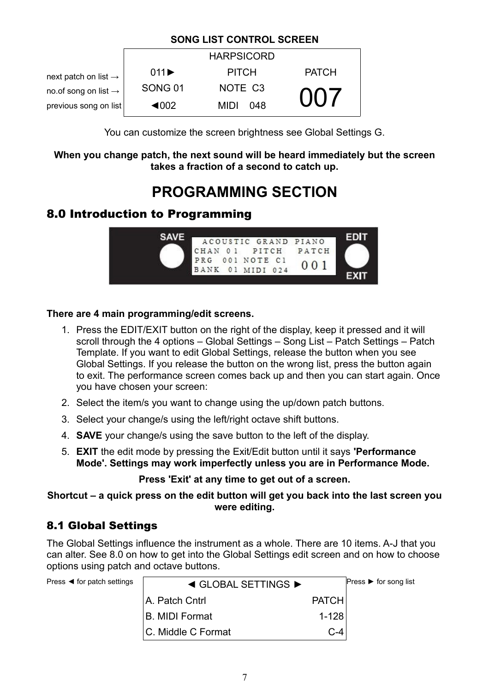### **SONG LIST CONTROL SCREEN**

|                                  |                           | <b>HARPSICORD</b>   |              |
|----------------------------------|---------------------------|---------------------|--------------|
| next patch on list $\rightarrow$ | $011 \blacktriangleright$ | <b>PITCH</b>        | <b>PATCH</b> |
| no.of song on list $\rightarrow$ | SONG <sub>01</sub>        | NOTE C <sub>3</sub> |              |
| previous song on list            | $\blacktriangleleft$ 002  | MIDI<br>048         | 007          |

You can customize the screen brightness see Global Settings G.

**When you change patch, the next sound will be heard immediately but the screen takes a fraction of a second to catch up.**

## **PROGRAMMING SECTION**

## 8.0 Introduction to Programming



### **There are 4 main programming/edit screens.**

- 1. Press the EDIT/EXIT button on the right of the display, keep it pressed and it will scroll through the 4 options – Global Settings – Song List – Patch Settings – Patch Template. If you want to edit Global Settings, release the button when you see Global Settings. If you release the button on the wrong list, press the button again to exit. The performance screen comes back up and then you can start again. Once you have chosen your screen:
- 2. Select the item/s you want to change using the up/down patch buttons.
- 3. Select your change/s using the left/right octave shift buttons.
- 4. **SAVE** your change/s using the save button to the left of the display.
- 5. **EXIT** the edit mode by pressing the Exit/Edit button until it says **'Performance Mode'. Settings may work imperfectly unless you are in Performance Mode.**

### **Press 'Exit' at any time to get out of a screen.**

**Shortcut – a quick press on the edit button will get you back into the last screen you were editing.**

## 8.1 Global Settings

The Global Settings influence the instrument as a whole. There are 10 items. A-J that you can alter. See 8.0 on how to get into the Global Settings edit screen and on how to choose options using patch and octave buttons.

| Press $\blacktriangleleft$ for patch settings | $\triangleleft$ GLOBAL SETTINGS $\triangleright$ | Press $\triangleright$ for song list |  |
|-----------------------------------------------|--------------------------------------------------|--------------------------------------|--|
|                                               | A. Patch Cntrl                                   | <b>PATCH</b>                         |  |
|                                               | <b>B. MIDI Format</b>                            | $1 - 128$                            |  |
|                                               | C. Middle C Format                               | $C-4$                                |  |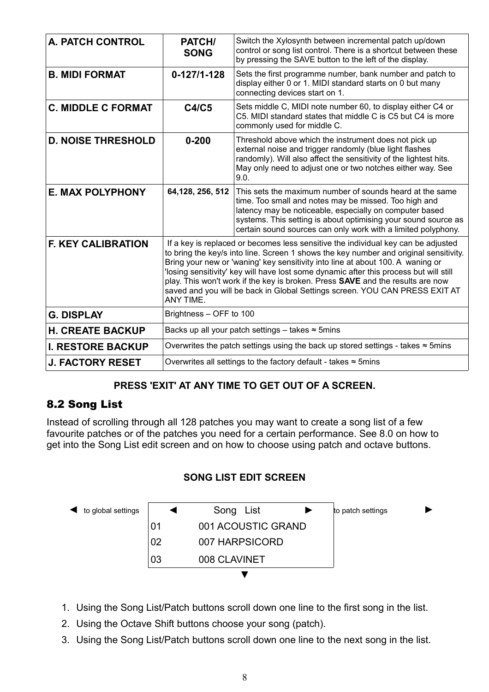| <b>A. PATCH CONTROL</b>   | PATCH/<br><b>SONG</b>                                                                                                                                                                                                                                                                                                                                                                                                                                                                                                                | Switch the Xylosynth between incremental patch up/down<br>control or song list control. There is a shortcut between these<br>by pressing the SAVE button to the left of the display.                                                                                                                            |
|---------------------------|--------------------------------------------------------------------------------------------------------------------------------------------------------------------------------------------------------------------------------------------------------------------------------------------------------------------------------------------------------------------------------------------------------------------------------------------------------------------------------------------------------------------------------------|-----------------------------------------------------------------------------------------------------------------------------------------------------------------------------------------------------------------------------------------------------------------------------------------------------------------|
| <b>B. MIDI FORMAT</b>     | $0 - 127/1 - 128$                                                                                                                                                                                                                                                                                                                                                                                                                                                                                                                    | Sets the first programme number, bank number and patch to<br>display either 0 or 1. MIDI standard starts on 0 but many<br>connecting devices start on 1.                                                                                                                                                        |
| <b>C. MIDDLE C FORMAT</b> | <b>C4/C5</b>                                                                                                                                                                                                                                                                                                                                                                                                                                                                                                                         | Sets middle C, MIDI note number 60, to display either C4 or<br>C5. MIDI standard states that middle C is C5 but C4 is more<br>commonly used for middle C.                                                                                                                                                       |
| <b>D. NOISE THRESHOLD</b> | $0 - 200$                                                                                                                                                                                                                                                                                                                                                                                                                                                                                                                            | Threshold above which the instrument does not pick up<br>external noise and trigger randomly (blue light flashes<br>randomly). Will also affect the sensitivity of the lightest hits.<br>May only need to adjust one or two notches either way. See<br>9.0.                                                     |
| <b>E. MAX POLYPHONY</b>   | 64, 128, 256, 512                                                                                                                                                                                                                                                                                                                                                                                                                                                                                                                    | This sets the maximum number of sounds heard at the same<br>time. Too small and notes may be missed. Too high and<br>latency may be noticeable, especially on computer based<br>systems. This setting is about optimising your sound source as<br>certain sound sources can only work with a limited polyphony. |
| <b>F. KEY CALIBRATION</b> | If a key is replaced or becomes less sensitive the individual key can be adjusted<br>to bring the key/s into line. Screen 1 shows the key number and original sensitivity.<br>Bring your new or 'waning' key sensitivity into line at about 100. A waning or<br>'losing sensitivity' key will have lost some dynamic after this process but will still<br>play. This won't work if the key is broken. Press SAVE and the results are now<br>saved and you will be back in Global Settings screen. YOU CAN PRESS EXIT AT<br>ANY TIME. |                                                                                                                                                                                                                                                                                                                 |
| <b>G. DISPLAY</b>         | Brightness - OFF to 100                                                                                                                                                                                                                                                                                                                                                                                                                                                                                                              |                                                                                                                                                                                                                                                                                                                 |
| <b>H. CREATE BACKUP</b>   | Backs up all your patch settings - takes $\approx$ 5mins                                                                                                                                                                                                                                                                                                                                                                                                                                                                             |                                                                                                                                                                                                                                                                                                                 |
| <b>I. RESTORE BACKUP</b>  | Overwrites the patch settings using the back up stored settings - takes $\approx$ 5mins                                                                                                                                                                                                                                                                                                                                                                                                                                              |                                                                                                                                                                                                                                                                                                                 |
| <b>J. FACTORY RESET</b>   | Overwrites all settings to the factory default - takes $\approx$ 5mins                                                                                                                                                                                                                                                                                                                                                                                                                                                               |                                                                                                                                                                                                                                                                                                                 |

## **PRESS 'EXIT' AT ANY TIME TO GET OUT OF A SCREEN.**

## 8.2 Song List

Instead of scrolling through all 128 patches you may want to create a song list of a few favourite patches or of the patches you need for a certain performance. See 8.0 on how to get into the Song List edit screen and on how to choose using patch and octave buttons.





- 1. Using the Song List/Patch buttons scroll down one line to the first song in the list.
- 2. Using the Octave Shift buttons choose your song (patch).
- 3. Using the Song List/Patch buttons scroll down one line to the next song in the list.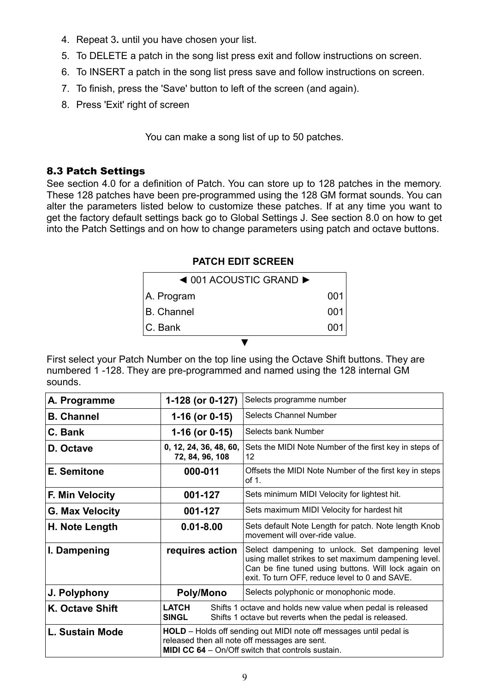- 4. Repeat 3**.** until you have chosen your list.
- 5. To DELETE a patch in the song list press exit and follow instructions on screen.
- 6. To INSERT a patch in the song list press save and follow instructions on screen.
- 7. To finish, press the 'Save' button to left of the screen (and again).
- 8. Press 'Exit' right of screen

You can make a song list of up to 50 patches.

### 8.3 Patch Settings

See section 4.0 for a definition of Patch. You can store up to 128 patches in the memory. These 128 patches have been pre-programmed using the 128 GM format sounds. You can alter the parameters listed below to customize these patches. If at any time you want to get the factory default settings back go to Global Settings J. See section 8.0 on how to get into the Patch Settings and on how to change parameters using patch and octave buttons.

### **PATCH EDIT SCREEN**

| $\triangleleft$ 001 ACOUSTIC GRAND $\triangleright$ |     |
|-----------------------------------------------------|-----|
| A. Program                                          | 001 |
| <b>B.</b> Channel                                   | 001 |
| <b>C. Bank</b>                                      | 001 |
|                                                     |     |

First select your Patch Number on the top line using the Octave Shift buttons. They are numbered 1 -128. They are pre-programmed and named using the 128 internal GM sounds.

| A. Programme           | 1-128 (or 0-127)                                                                                                                                                                       | Selects programme number                                                                                                                                                                                         |
|------------------------|----------------------------------------------------------------------------------------------------------------------------------------------------------------------------------------|------------------------------------------------------------------------------------------------------------------------------------------------------------------------------------------------------------------|
| <b>B. Channel</b>      | $1-16$ (or 0-15)                                                                                                                                                                       | <b>Selects Channel Number</b>                                                                                                                                                                                    |
| C. Bank                | $1-16$ (or 0-15)                                                                                                                                                                       | Selects bank Number                                                                                                                                                                                              |
| D. Octave              | 0, 12, 24, 36, 48, 60,<br>72, 84, 96, 108                                                                                                                                              | Sets the MIDI Note Number of the first key in steps of<br>12                                                                                                                                                     |
| E. Semitone            | 000-011                                                                                                                                                                                | Offsets the MIDI Note Number of the first key in steps<br>of 1.                                                                                                                                                  |
| <b>F. Min Velocity</b> | 001-127                                                                                                                                                                                | Sets minimum MIDI Velocity for lightest hit.                                                                                                                                                                     |
| <b>G. Max Velocity</b> | 001-127                                                                                                                                                                                | Sets maximum MIDI Velocity for hardest hit                                                                                                                                                                       |
| H. Note Length         | $0.01 - 8.00$                                                                                                                                                                          | Sets default Note Length for patch. Note length Knob<br>movement will over-ride value.                                                                                                                           |
| I. Dampening           | requires action                                                                                                                                                                        | Select dampening to unlock. Set dampening level<br>using mallet strikes to set maximum dampening level.<br>Can be fine tuned using buttons. Will lock again on<br>exit. To turn OFF, reduce level to 0 and SAVE. |
| J. Polyphony           | <b>Poly/Mono</b>                                                                                                                                                                       | Selects polyphonic or monophonic mode.                                                                                                                                                                           |
| K. Octave Shift        | LATCH<br>Shifts 1 octave and holds new value when pedal is released<br><b>SINGL</b><br>Shifts 1 octave but reverts when the pedal is released.                                         |                                                                                                                                                                                                                  |
| L. Sustain Mode        | <b>HOLD</b> – Holds off sending out MIDI note off messages until pedal is<br>released then all note off messages are sent.<br><b>MIDI CC 64</b> - On/Off switch that controls sustain. |                                                                                                                                                                                                                  |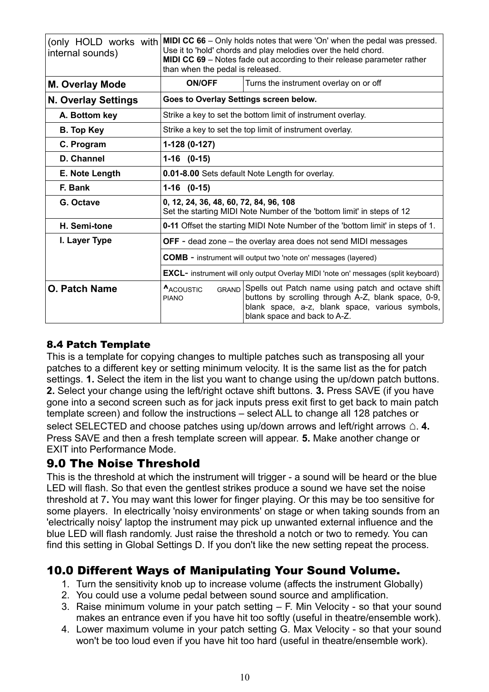| internal sounds)           | (only HOLD works with MIDI CC 66 - Only holds notes that were 'On' when the pedal was pressed.<br>Use it to 'hold' chords and play melodies over the held chord.<br>MIDI CC 69 - Notes fade out according to their release parameter rather<br>than when the pedal is released. |                                                                                                                                                                                              |  |
|----------------------------|---------------------------------------------------------------------------------------------------------------------------------------------------------------------------------------------------------------------------------------------------------------------------------|----------------------------------------------------------------------------------------------------------------------------------------------------------------------------------------------|--|
| <b>M. Overlay Mode</b>     | <b>ON/OFF</b><br>Turns the instrument overlay on or off                                                                                                                                                                                                                         |                                                                                                                                                                                              |  |
| <b>N. Overlay Settings</b> | Goes to Overlay Settings screen below.                                                                                                                                                                                                                                          |                                                                                                                                                                                              |  |
| A. Bottom key              | Strike a key to set the bottom limit of instrument overlay.                                                                                                                                                                                                                     |                                                                                                                                                                                              |  |
| <b>B.</b> Top Key          |                                                                                                                                                                                                                                                                                 | Strike a key to set the top limit of instrument overlay.                                                                                                                                     |  |
| C. Program                 | 1-128 (0-127)                                                                                                                                                                                                                                                                   |                                                                                                                                                                                              |  |
| D. Channel                 | $1-16$ $(0-15)$                                                                                                                                                                                                                                                                 |                                                                                                                                                                                              |  |
| E. Note Length             | 0.01-8.00 Sets default Note Length for overlay.                                                                                                                                                                                                                                 |                                                                                                                                                                                              |  |
| F. Bank                    | $1-16$ $(0-15)$                                                                                                                                                                                                                                                                 |                                                                                                                                                                                              |  |
| G. Octave                  | 0, 12, 24, 36, 48, 60, 72, 84, 96, 108<br>Set the starting MIDI Note Number of the 'bottom limit' in steps of 12                                                                                                                                                                |                                                                                                                                                                                              |  |
| H. Semi-tone               | 0-11 Offset the starting MIDI Note Number of the 'bottom limit' in steps of 1.                                                                                                                                                                                                  |                                                                                                                                                                                              |  |
| I. Layer Type              | <b>OFF</b> - dead zone – the overlay area does not send MIDI messages                                                                                                                                                                                                           |                                                                                                                                                                                              |  |
|                            | <b>COMB</b> - instrument will output two 'note on' messages (layered)                                                                                                                                                                                                           |                                                                                                                                                                                              |  |
|                            | <b>EXCL-</b> instrument will only output Overlay MIDI 'note on' messages (split keyboard)                                                                                                                                                                                       |                                                                                                                                                                                              |  |
| <b>O. Patch Name</b>       | ACOUSTIC<br><b>GRAND</b><br><b>PIANO</b>                                                                                                                                                                                                                                        | Spells out Patch name using patch and octave shift<br>buttons by scrolling through A-Z, blank space, 0-9,<br>blank space, a-z, blank space, various symbols,<br>blank space and back to A-Z. |  |

### 8.4 Patch Template

This is a template for copying changes to multiple patches such as transposing all your patches to a different key or setting minimum velocity. It is the same list as the for patch settings. **1.** Select the item in the list you want to change using the up/down patch buttons. **2.** Select your change using the left/right octave shift buttons. **3.** Press SAVE (if you have gone into a second screen such as for jack inputs press exit first to get back to main patch template screen) and follow the instructions – select ALL to change all 128 patches or select SELECTED and choose patches using up/down arrows and left/right arrows △ 4. Press SAVE and then a fresh template screen will appear. **5.** Make another change or EXIT into Performance Mode.

## 9.0 The Noise Threshold

This is the threshold at which the instrument will trigger - a sound will be heard or the blue LED will flash. So that even the gentlest strikes produce a sound we have set the noise threshold at 7**.** You may want this lower for finger playing. Or this may be too sensitive for some players. In electrically 'noisy environments' on stage or when taking sounds from an 'electrically noisy' laptop the instrument may pick up unwanted external influence and the blue LED will flash randomly. Just raise the threshold a notch or two to remedy. You can find this setting in Global Settings D. If you don't like the new setting repeat the process.

## 10.0 Different Ways of Manipulating Your Sound Volume.

- 1. Turn the sensitivity knob up to increase volume (affects the instrument Globally)
- 2. You could use a volume pedal between sound source and amplification.
- 3. Raise minimum volume in your patch setting F. Min Velocity so that your sound makes an entrance even if you have hit too softly (useful in theatre/ensemble work).
- 4. Lower maximum volume in your patch setting G. Max Velocity so that your sound won't be too loud even if you have hit too hard (useful in theatre/ensemble work).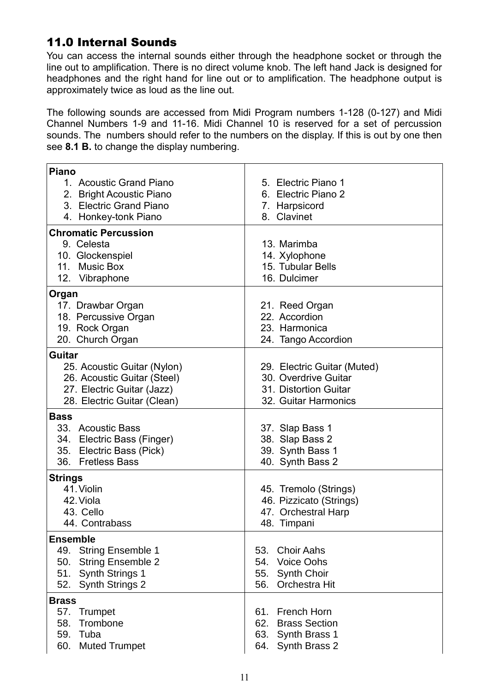## 11.0 Internal Sounds

You can access the internal sounds either through the headphone socket or through the line out to amplification. There is no direct volume knob. The left hand Jack is designed for headphones and the right hand for line out or to amplification. The headphone output is approximately twice as loud as the line out.

The following sounds are accessed from Midi Program numbers 1-128 (0-127) and Midi Channel Numbers 1-9 and 11-16. Midi Channel 10 is reserved for a set of percussion sounds. The numbers should refer to the numbers on the display. If this is out by one then see **8.1 B.** to change the display numbering.

| <b>Piano</b>                               |                                              |
|--------------------------------------------|----------------------------------------------|
| 1. Acoustic Grand Piano                    | 5. Electric Piano 1                          |
| 2. Bright Acoustic Piano                   | 6. Electric Piano 2                          |
| 3. Electric Grand Piano                    | 7. Harpsicord                                |
| 4. Honkey-tonk Piano                       | 8. Clavinet                                  |
| <b>Chromatic Percussion</b>                |                                              |
| 9. Celesta                                 | 13. Marimba                                  |
| 10. Glockenspiel                           | 14. Xylophone                                |
| 11. Music Box                              | 15. Tubular Bells                            |
| 12. Vibraphone                             | 16. Dulcimer                                 |
| Organ                                      |                                              |
| 17. Drawbar Organ                          | 21. Reed Organ                               |
| 18. Percussive Organ                       | 22. Accordion                                |
| 19. Rock Organ                             | 23. Harmonica                                |
| 20. Church Organ                           | 24. Tango Accordion                          |
| Guitar                                     |                                              |
| 25. Acoustic Guitar (Nylon)                | 29. Electric Guitar (Muted)                  |
| 26. Acoustic Guitar (Steel)                | 30. Overdrive Guitar                         |
| 27. Electric Guitar (Jazz)                 | 31. Distortion Guitar                        |
| 28. Electric Guitar (Clean)                | 32. Guitar Harmonics                         |
| <b>Bass</b>                                |                                              |
| 33. Acoustic Bass                          | 37. Slap Bass 1                              |
| 34. Electric Bass (Finger)                 | 38. Slap Bass 2                              |
| 35. Electric Bass (Pick)                   | 39. Synth Bass 1                             |
| 36. Fretless Bass                          | 40. Synth Bass 2                             |
| <b>Strings</b>                             |                                              |
| 41. Violin                                 | 45. Tremolo (Strings)                        |
| 42. Viola                                  | 46. Pizzicato (Strings)                      |
| 43. Cello                                  | 47. Orchestral Harp                          |
| 44. Contrabass                             | 48. Timpani                                  |
| <b>Ensemble</b>                            |                                              |
| 49. String Ensemble 1                      | 53. Choir Aahs                               |
| <b>String Ensemble 2</b><br>50.            |                                              |
|                                            | 54.<br><b>Voice Oohs</b>                     |
| 51.<br><b>Synth Strings 1</b>              | 55.<br><b>Synth Choir</b>                    |
| <b>Synth Strings 2</b><br>52.              | Orchestra Hit<br>56.                         |
| <b>Brass</b>                               |                                              |
| 57.<br><b>Trumpet</b>                      | 61. French Horn                              |
| 58.<br>Trombone                            | 62.<br><b>Brass Section</b>                  |
| 59.<br>Tuba<br>60.<br><b>Muted Trumpet</b> | 63.<br>Synth Brass 1<br>Synth Brass 2<br>64. |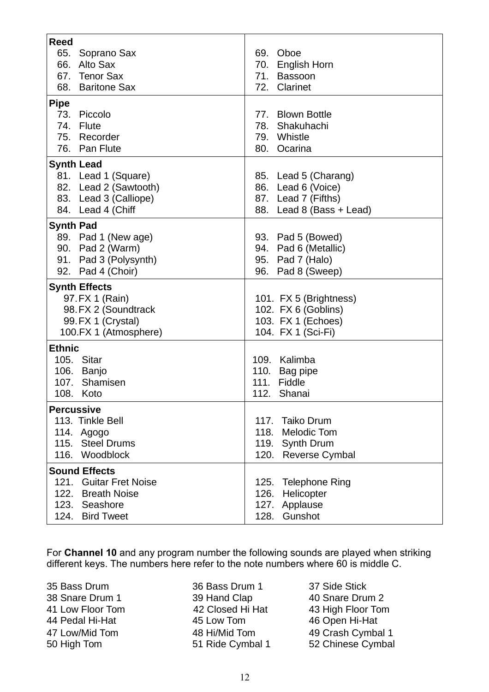| <b>Reed</b>                                  |                                            |
|----------------------------------------------|--------------------------------------------|
| 65.<br>Soprano Sax<br>66. Alto Sax           | 69. Oboe                                   |
| 67. Tenor Sax                                | 70. English Horn<br>71. Bassoon            |
| 68. Baritone Sax                             | 72. Clarinet                               |
|                                              |                                            |
| <b>Pipe</b>                                  |                                            |
| 73. Piccolo<br>74. Flute                     | 77. Blown Bottle<br>78. Shakuhachi         |
| 75. Recorder                                 | 79. Whistle                                |
| 76. Pan Flute                                | 80. Ocarina                                |
|                                              |                                            |
| <b>Synth Lead</b>                            |                                            |
| 81. Lead 1 (Square)<br>82. Lead 2 (Sawtooth) | 85. Lead 5 (Charang)<br>86. Lead 6 (Voice) |
| 83. Lead 3 (Calliope)                        | 87. Lead 7 (Fifths)                        |
| 84. Lead 4 (Chiff                            | 88. Lead 8 (Bass + Lead)                   |
|                                              |                                            |
| <b>Synth Pad</b><br>89. Pad 1 (New age)      | 93. Pad 5 (Bowed)                          |
| 90. Pad 2 (Warm)                             | 94. Pad 6 (Metallic)                       |
| 91. Pad 3 (Polysynth)                        | 95. Pad 7 (Halo)                           |
| 92. Pad 4 (Choir)                            | 96. Pad 8 (Sweep)                          |
| <b>Synth Effects</b>                         |                                            |
| 97. FX 1 (Rain)                              | 101. FX 5 (Brightness)                     |
| 98. FX 2 (Soundtrack                         | 102. FX 6 (Goblins)                        |
| 99. FX 1 (Crystal)                           | 103. FX 1 (Echoes)                         |
| 100.FX 1 (Atmosphere)                        | 104. FX 1 (Sci-Fi)                         |
| <b>Ethnic</b>                                |                                            |
| 105. Sitar                                   | 109. Kalimba                               |
| 106. Banjo                                   | 110. Bag pipe                              |
| 107. Shamisen                                | 111. Fiddle                                |
| 108. Koto                                    | 112. Shanai                                |
| <b>Percussive</b>                            |                                            |
| 113. Tinkle Bell                             | 117. Taiko Drum                            |
| 114.<br>Agogo                                | 118.<br><b>Melodic Tom</b>                 |
| <b>Steel Drums</b><br>115.                   | Synth Drum<br>119.                         |
| 116. Woodblock                               | Reverse Cymbal<br>120.                     |
| <b>Sound Effects</b>                         |                                            |
| 121.<br><b>Guitar Fret Noise</b>             | <b>Telephone Ring</b><br>125.              |
| 122. Breath Noise                            | Helicopter<br>126.                         |
| 123. Seashore                                | 127. Applause                              |
| 124. Bird Tweet                              | Gunshot<br>128.                            |

For **Channel 10** and any program number the following sounds are played when striking different keys. The numbers here refer to the note numbers where 60 is middle C.

35 Bass Drum 36 Bass Drum 1 37 Side Stick

38 Snare Drum 1 39 Hand Clap 40 Snare Drum 2<br>41 Low Floor Tom 42 Closed Hi Hat 43 High Floor Ton 44 Pedal Hi-Hat 45 Low Tom 46 Open Hi-Hat 50 High Tom 51 Ride Cymbal 1 52 Chinese Cymbal

41 Low Floor Tom 42 Closed Hi Hat 43 High Floor Tom 47 Low/Mid Tom 48 Hi/Mid Tom 49 Crash Cymbal 1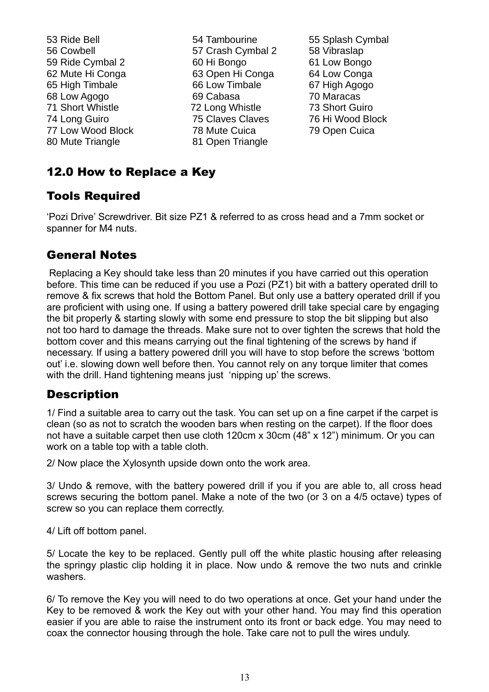53 Ride Bell 54 Tambourine 55 Splash Cymbal 56 Cowbell 57 Crash Cymbal 2 58 Vibraslap 59 Ride Cymbal 2 60 Hi Bongo 61 Low Bongo 62 Mute Hi Conga 63 Open Hi Conga 64 Low Conga 65 High Timbale 66 Low Timbale 67 High Agogo 68 Low Agogo 69 Cabasa 70 Maracas 71 Short Whistle 72 Long Whistle 73 Short Guiro 74 Long Guiro 75 Claves Claves 76 Hi Wood Block 77 Low Wood Block 78 Mute Cuica 79 Open Cuica 80 Mute Triangle 81 Open Triangle

- 
- 

## 12.0 How to Replace a Key

## Tools Required

'Pozi Drive' Screwdriver. Bit size PZ1 & referred to as cross head and a 7mm socket or spanner for M4 nuts.

## General Notes

Replacing a Key should take less than 20 minutes if you have carried out this operation before. This time can be reduced if you use a Pozi (PZ1) bit with a battery operated drill to remove & fix screws that hold the Bottom Panel. But only use a battery operated drill if you are proficient with using one. If using a battery powered drill take special care by engaging the bit properly & starting slowly with some end pressure to stop the bit slipping but also not too hard to damage the threads. Make sure not to over tighten the screws that hold the bottom cover and this means carrying out the final tightening of the screws by hand if necessary. If using a battery powered drill you will have to stop before the screws 'bottom out' i.e. slowing down well before then. You cannot rely on any torque limiter that comes with the drill. Hand tightening means just 'nipping up' the screws.

## **Description**

1/ Find a suitable area to carry out the task. You can set up on a fine carpet if the carpet is clean (so as not to scratch the wooden bars when resting on the carpet). If the floor does not have a suitable carpet then use cloth 120cm x 30cm (48" x 12") minimum. Or you can work on a table top with a table cloth.

2/ Now place the Xylosynth upside down onto the work area.

3/ Undo & remove, with the battery powered drill if you if you are able to, all cross head screws securing the bottom panel. Make a note of the two (or 3 on a 4/5 octave) types of screw so you can replace them correctly.

4/ Lift off bottom panel.

5/ Locate the key to be replaced. Gently pull off the white plastic housing after releasing the springy plastic clip holding it in place. Now undo & remove the two nuts and crinkle washers.

6/ To remove the Key you will need to do two operations at once. Get your hand under the Key to be removed & work the Key out with your other hand. You may find this operation easier if you are able to raise the instrument onto its front or back edge. You may need to coax the connector housing through the hole. Take care not to pull the wires unduly.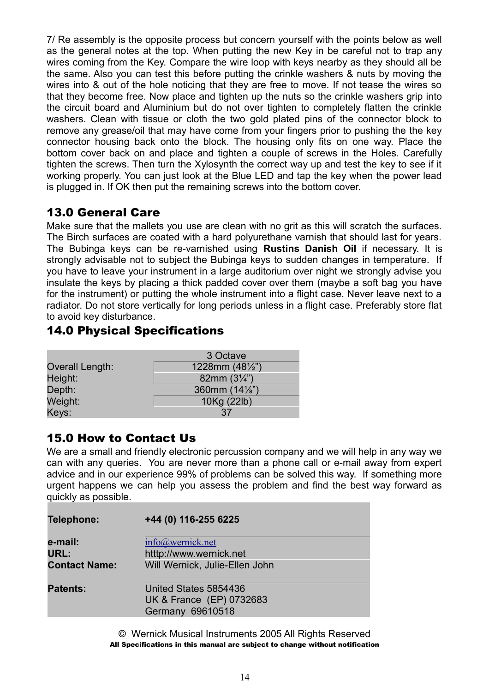7/ Re assembly is the opposite process but concern yourself with the points below as well as the general notes at the top. When putting the new Key in be careful not to trap any wires coming from the Key. Compare the wire loop with keys nearby as they should all be the same. Also you can test this before putting the crinkle washers & nuts by moving the wires into & out of the hole noticing that they are free to move. If not tease the wires so that they become free. Now place and tighten up the nuts so the crinkle washers grip into the circuit board and Aluminium but do not over tighten to completely flatten the crinkle washers. Clean with tissue or cloth the two gold plated pins of the connector block to remove any grease/oil that may have come from your fingers prior to pushing the the key connector housing back onto the block. The housing only fits on one way. Place the bottom cover back on and place and tighten a couple of screws in the Holes. Carefully tighten the screws. Then turn the Xylosynth the correct way up and test the key to see if it working properly. You can just look at the Blue LED and tap the key when the power lead is plugged in. If OK then put the remaining screws into the bottom cover.

## 13.0 General Care

Make sure that the mallets you use are clean with no grit as this will scratch the surfaces. The Birch surfaces are coated with a hard polyurethane varnish that should last for years. The Bubinga keys can be re-varnished using **Rustins Danish Oil** if necessary. It is strongly advisable not to subject the Bubinga keys to sudden changes in temperature. If you have to leave your instrument in a large auditorium over night we strongly advise you insulate the keys by placing a thick padded cover over them (maybe a soft bag you have for the instrument) or putting the whole instrument into a flight case. Never leave next to a radiator. Do not store vertically for long periods unless in a flight case. Preferably store flat to avoid key disturbance.

## 14.0 Physical Specifications

|                 | 3 Octave                 |
|-----------------|--------------------------|
| Overall Length: | 1228mm $(48\frac{1}{2})$ |
| Height:         | 82mm $(3\frac{1}{4})$    |
| Depth:          | 360mm (14%")             |
| Weight:         | 10Kg (22lb)              |
| Keys:           | 37                       |

## 15.0 How to Contact Us

We are a small and friendly electronic percussion company and we will help in any way we can with any queries. You are never more than a phone call or e-mail away from expert advice and in our experience 99% of problems can be solved this way. If something more urgent happens we can help you assess the problem and find the best way forward as quickly as possible.

| Telephone:           | +44 (0) 116-255 6225                                                         |
|----------------------|------------------------------------------------------------------------------|
| e-mail:              | info@wernick.net                                                             |
| URL:                 | htttp://www.wernick.net                                                      |
| <b>Contact Name:</b> | Will Wernick, Julie-Ellen John                                               |
| <b>Patents:</b>      | United States 5854436<br>UK & France (EP) 0732683<br><b>Germany 69610518</b> |

© Wernick Musical Instruments 2005 All Rights Reserved All Specifications in this manual are subject to change without notification